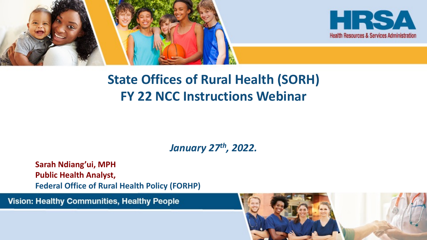

![](_page_0_Picture_1.jpeg)

### **State Offices of Rural Health (SORH) FY 22 NCC Instructions Webinar**

*January 27th, 2022.*

**Sarah Ndiang'ui, MPH Public Health Analyst, Federal Office of Rural Health Policy (FORHP)**

Vision: Healthy Communities, Healthy People

![](_page_0_Picture_6.jpeg)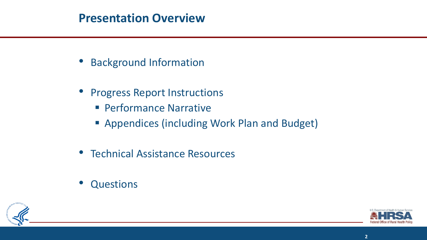#### **Presentation Overview**

- Background Information
- Progress Report Instructions
	- Performance Narrative
	- Appendices (including Work Plan and Budget)
- Technical Assistance Resources
- **Questions**

![](_page_1_Picture_7.jpeg)

![](_page_1_Picture_8.jpeg)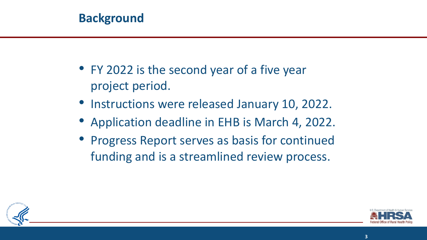#### **Background**

- FY 2022 is the second year of a five year project period.
- Instructions were released January 10, 2022.
- Application deadline in EHB is March 4, 2022.
- Progress Report serves as basis for continued funding and is a streamlined review process.

![](_page_2_Picture_5.jpeg)

![](_page_2_Picture_6.jpeg)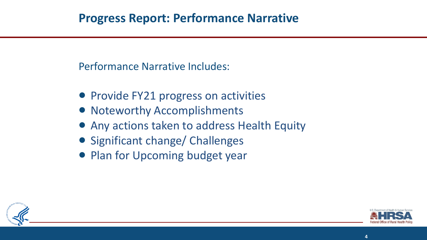Performance Narrative Includes:

- Provide FY21 progress on activities
- Noteworthy Accomplishments
- Any actions taken to address Health Equity
- Significant change/ Challenges
- Plan for Upcoming budget year

![](_page_3_Picture_7.jpeg)

![](_page_3_Picture_8.jpeg)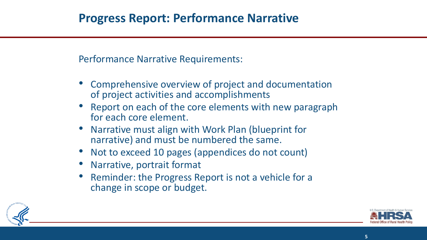Performance Narrative Requirements:

- Comprehensive overview of project and documentation of project activities and accomplishments
- Report on each of the core elements with new paragraph for each core element.
- Narrative must align with Work Plan (blueprint for narrative) and must be numbered the same.
- Not to exceed 10 pages (appendices do not count)
- Narrative, portrait format
- Reminder: the Progress Report is not a vehicle for a change in scope or budget.

![](_page_4_Picture_8.jpeg)

![](_page_4_Picture_9.jpeg)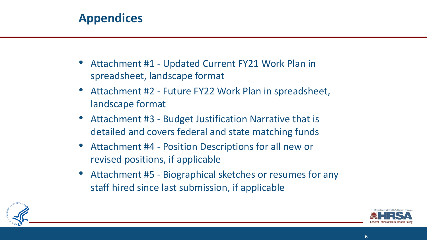#### **Appendices**

- Attachment #1 Updated Current FY21 Work Plan in spreadsheet, landscape format
- Attachment #2 Future FY22 Work Plan in spreadsheet, landscape format
- Attachment #3 Budget Justification Narrative that is detailed and covers federal and state matching funds
- Attachment #4 Position Descriptions for all new or revised positions, if applicable
- Attachment #5 Biographical sketches or resumes for any staff hired since last submission, if applicable

![](_page_5_Picture_6.jpeg)

![](_page_5_Picture_7.jpeg)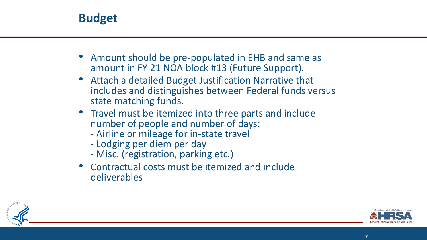![](_page_6_Picture_0.jpeg)

- Amount should be pre-populated in EHB and same as amount in FY 21 NOA block #13 (Future Support).
- Attach a detailed Budget Justification Narrative that includes and distinguishes between Federal funds versus state matching funds.
- Travel must be itemized into three parts and include number of people and number of days:
	- Airline or mileage for in-state travel Lodging per diem per day
	-
	- Misc. (registration, parking etc.)
- Contractual costs must be itemized and include deliverables

![](_page_6_Picture_8.jpeg)

![](_page_6_Picture_9.jpeg)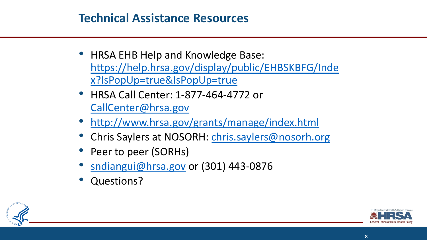#### **[Technical Assistance Resources](http://www.hrsa.gov/grants/manage/index.html)**

- [HRSA EHB Help and K](mailto:sndiangui@hrsa.gov)nowledge Base: https://help.hrsa.gov/display/public/EI x?IsPopUp=true&IsPopUp=true
- HRSA Call Center: 1-877-464-4772 or CallCenter@hrsa.gov
- http://www.hrsa.gov/grants/manage/i
- Chris Saylers at NOSORH: chris.saylers
- Peer to peer (SORHs)
- sndiangui@hrsa.gov or (301) 443-0876
- Questions?

![](_page_7_Picture_8.jpeg)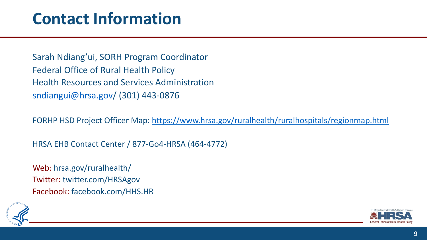### **Contact Inform[ation](https://www.hrsa.gov/ruralhealth/ruralhospitals/regionmap.html)**

Sarah Ndiang'ui, SORH Program Coordinator Federal Office of Rural Health Policy Health Resources and Services Administration sndiangui@hrsa.gov/ (301) 443-0876

FORHP HSD Project Officer Map: https://www.hrsa.gov/ruralhealth

HRSA EHB Contact Center / 877-Go4-HRSA (464-4772)

Web: hrsa.gov/ruralhealth/ Twitter: twitter.com/HRSAgov Facebook: facebook.com/HHS.HR

![](_page_8_Figure_5.jpeg)